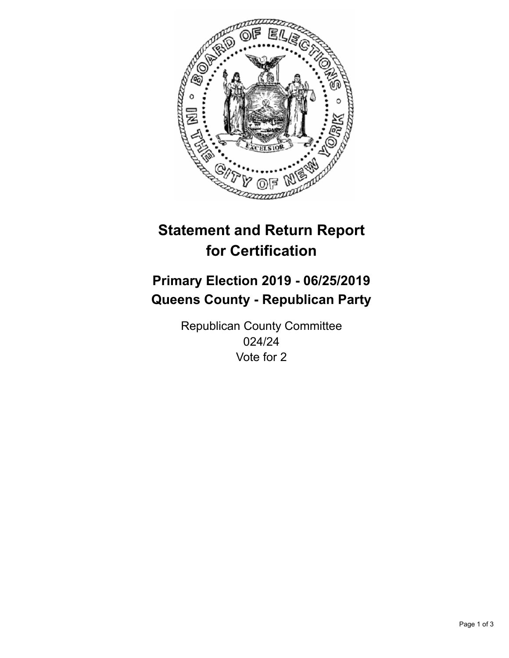

## **Statement and Return Report for Certification**

## **Primary Election 2019 - 06/25/2019 Queens County - Republican Party**

Republican County Committee 024/24 Vote for 2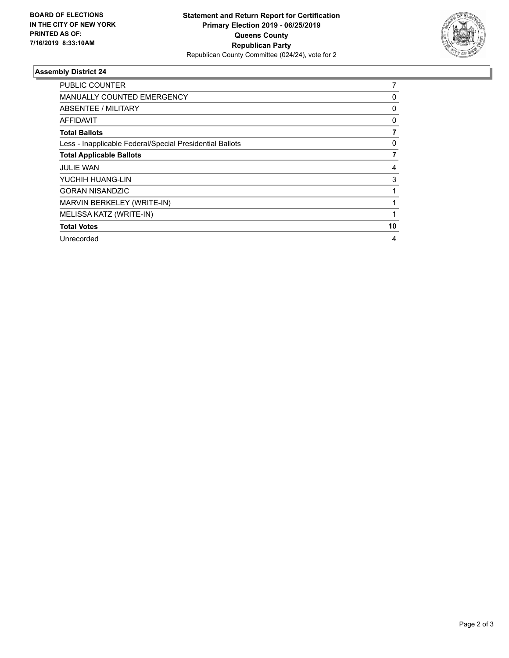

## **Assembly District 24**

| <b>PUBLIC COUNTER</b>                                    |    |
|----------------------------------------------------------|----|
| <b>MANUALLY COUNTED EMERGENCY</b>                        | 0  |
| ABSENTEE / MILITARY                                      | 0  |
| <b>AFFIDAVIT</b>                                         | 0  |
| <b>Total Ballots</b>                                     |    |
| Less - Inapplicable Federal/Special Presidential Ballots | 0  |
| <b>Total Applicable Ballots</b>                          | 7  |
| <b>JULIE WAN</b>                                         | 4  |
| YUCHIH HUANG-LIN                                         | 3  |
| <b>GORAN NISANDZIC</b>                                   |    |
| MARVIN BERKELEY (WRITE-IN)                               |    |
| MELISSA KATZ (WRITE-IN)                                  |    |
| <b>Total Votes</b>                                       | 10 |
| Unrecorded                                               | 4  |